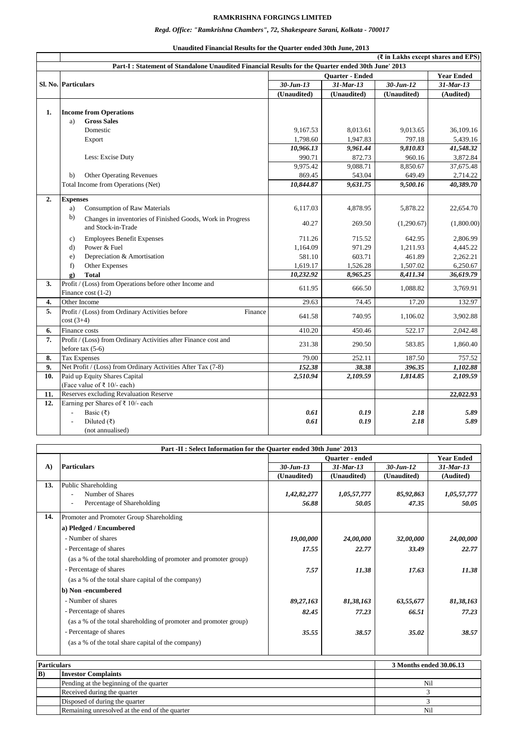## **RAMKRISHNA FORGINGS LIMITED**

## *Regd. Office: "Ramkrishna Chambers", 72, Shakespeare Sarani, Kolkata - 700017*

|     |                                                                                                    |                 |              | $(\overline{\xi}$ in Lakhs except shares and EPS) |                   |  |  |
|-----|----------------------------------------------------------------------------------------------------|-----------------|--------------|---------------------------------------------------|-------------------|--|--|
|     | Part-I : Statement of Standalone Unaudited Financial Results for the Quarter ended 30th June' 2013 |                 |              |                                                   |                   |  |  |
|     |                                                                                                    | Quarter - Ended |              |                                                   | <b>Year Ended</b> |  |  |
|     | <b>SI. No. Particulars</b>                                                                         | $30 - Jun - 13$ | $31$ -Mar-13 | $30 - Jun - 12$                                   | $31$ -Mar-13      |  |  |
|     |                                                                                                    | (Unaudited)     | (Unaudited)  | (Unaudited)                                       | (Audited)         |  |  |
|     |                                                                                                    |                 |              |                                                   |                   |  |  |
| 1.  | <b>Income from Operations</b>                                                                      |                 |              |                                                   |                   |  |  |
|     | <b>Gross Sales</b><br>a)                                                                           |                 |              |                                                   |                   |  |  |
|     | Domestic                                                                                           | 9.167.53        | 8.013.61     | 9.013.65                                          | 36.109.16         |  |  |
|     | Export                                                                                             | 1,798.60        | 1,947.83     | 797.18                                            | 5,439.16          |  |  |
|     |                                                                                                    | 10,966.13       | 9,961.44     | 9,810.83                                          | 41,548.32         |  |  |
|     | Less: Excise Duty                                                                                  | 990.71          | 872.73       | 960.16                                            | 3,872.84          |  |  |
|     |                                                                                                    | 9,975.42        | 9,088.71     | 8,850.67                                          | 37,675.48         |  |  |
|     | <b>Other Operating Revenues</b><br>b)                                                              | 869.45          | 543.04       | 649.49                                            | 2,714.22          |  |  |
|     | Total Income from Operations (Net)                                                                 | 10,844.87       | 9,631.75     | 9,500.16                                          | 40,389.70         |  |  |
| 2.  | <b>Expenses</b>                                                                                    |                 |              |                                                   |                   |  |  |
|     | <b>Consumption of Raw Materials</b><br>a)                                                          | 6,117.03        | 4,878.95     | 5,878.22                                          | 22,654.70         |  |  |
|     | b)<br>Changes in inventories of Finished Goods, Work in Progress<br>and Stock-in-Trade             | 40.27           | 269.50       | (1,290.67)                                        | (1,800.00)        |  |  |
|     | <b>Employees Benefit Expenses</b><br>c)                                                            | 711.26          | 715.52       | 642.95                                            | 2,806.99          |  |  |
|     | Power & Fuel<br>$\mathbf{d}$                                                                       | 1,164.09        | 971.29       | 1,211.93                                          | 4,445.22          |  |  |
|     | Depreciation & Amortisation<br>e)                                                                  | 581.10          | 603.71       | 461.89                                            | 2,262.21          |  |  |
|     | Other Expenses<br>f)                                                                               | 1,619.17        | 1,526.28     | 1,507.02                                          | 6,250.67          |  |  |
|     | g)<br><b>Total</b>                                                                                 | 10,232.92       | 8,965.25     | 8,411.34                                          | 36,619.79         |  |  |
| 3.  | Profit / (Loss) from Operations before other Income and<br>Finance cost (1-2)                      | 611.95          | 666.50       | 1,088.82                                          | 3,769.91          |  |  |
| 4.  | Other Income                                                                                       | 29.63           | 74.45        | 17.20                                             | 132.97            |  |  |
| 5.  | Profit / (Loss) from Ordinary Activities before<br>Finance<br>$cost(3+4)$                          | 641.58          | 740.95       | 1,106.02                                          | 3,902.88          |  |  |
| 6.  | Finance costs                                                                                      | 410.20          | 450.46       | 522.17                                            | 2,042.48          |  |  |
| 7.  | Profit / (Loss) from Ordinary Activities after Finance cost and<br>before tax $(5-6)$              | 231.38          | 290.50       | 583.85                                            | 1,860.40          |  |  |
| 8.  | <b>Tax Expenses</b>                                                                                | 79.00           | 252.11       | 187.50                                            | 757.52            |  |  |
| 9.  | Net Profit / (Loss) from Ordinary Activities After Tax (7-8)                                       | 152.38          | 38.38        | 396.35                                            | 1,102.88          |  |  |
| 10. | Paid up Equity Shares Capital                                                                      | 2,510.94        | 2,109.59     | 1,814.85                                          | 2,109.59          |  |  |
|     | (Face value of ₹ 10/- each)                                                                        |                 |              |                                                   |                   |  |  |
| 11. | Reserves excluding Revaluation Reserve                                                             |                 |              |                                                   | 22,022.93         |  |  |
| 12. | Earning per Shares of ₹ 10/- each                                                                  |                 |              |                                                   |                   |  |  |
|     | Basic (₹)<br>$\overline{a}$                                                                        | 0.61            | 0.19         | 2.18                                              | 5.89              |  |  |
|     | Diluted $(\overline{\zeta})$                                                                       | 0.61            | 0.19         | 2.18                                              | 5.89              |  |  |
|     | (not annualised)                                                                                   |                 |              |                                                   |                   |  |  |

| Unaudited Financial Results for the Quarter ended 30th June, 2013 |
|-------------------------------------------------------------------|
|-------------------------------------------------------------------|

| Part -II : Select Information for the Quarter ended 30th June' 2013 |                                                                   |                        |              |               |                   |  |
|---------------------------------------------------------------------|-------------------------------------------------------------------|------------------------|--------------|---------------|-------------------|--|
|                                                                     |                                                                   | <b>Ouarter</b> - ended |              |               | <b>Year Ended</b> |  |
| $\mathbf{A}$                                                        | <b>Particulars</b>                                                | $30 - Jun - 13$        | $31$ -Mar-13 | $30 - Jun-12$ | $31$ -Mar-13      |  |
|                                                                     |                                                                   | (Unaudited)            | (Unaudited)  | (Unaudited)   | (Audited)         |  |
| 13.                                                                 | <b>Public Shareholding</b>                                        |                        |              |               |                   |  |
|                                                                     | Number of Shares                                                  | 1,42,82,277            | 1,05,57,777  | 85,92,863     | 1,05,57,777       |  |
|                                                                     | Percentage of Shareholding                                        | 56.88                  | 50.05        | 47.35         | 50.05             |  |
| 14.                                                                 | Promoter and Promoter Group Shareholding                          |                        |              |               |                   |  |
|                                                                     | a) Pledged / Encumbered                                           |                        |              |               |                   |  |
|                                                                     | - Number of shares                                                | 19,00,000              | 24,00,000    | 32,00,000     | 24,00,000         |  |
|                                                                     | - Percentage of shares                                            | 17.55                  | 22.77        | 33.49         | 22.77             |  |
|                                                                     | (as a % of the total shareholding of promoter and promoter group) |                        |              |               |                   |  |
|                                                                     | - Percentage of shares                                            | 7.57                   | 11.38        | 17.63         | 11.38             |  |
|                                                                     | (as a % of the total share capital of the company)                |                        |              |               |                   |  |
|                                                                     | b) Non-encumbered                                                 |                        |              |               |                   |  |
|                                                                     | - Number of shares                                                | 89,27,163              | 81,38,163    | 63,55,677     | 81,38,163         |  |
|                                                                     | - Percentage of shares                                            | 82.45                  | 77.23        | 66.51         | 77.23             |  |
|                                                                     | (as a % of the total shareholding of promoter and promoter group) |                        |              |               |                   |  |
|                                                                     | - Percentage of shares                                            | 35.55                  | 38.57        | 35.02         | 38.57             |  |
|                                                                     | (as a % of the total share capital of the company)                |                        |              |               |                   |  |

| <b>Particulars</b> |                                                | 3 Months ended 30.06.13 |  |
|--------------------|------------------------------------------------|-------------------------|--|
| B)                 | <b>Investor Complaints</b>                     |                         |  |
|                    | Pending at the beginning of the quarter        | Nil                     |  |
|                    | Received during the quarter                    |                         |  |
|                    | Disposed of during the quarter                 |                         |  |
|                    | Remaining unresolved at the end of the quarter | Nil                     |  |